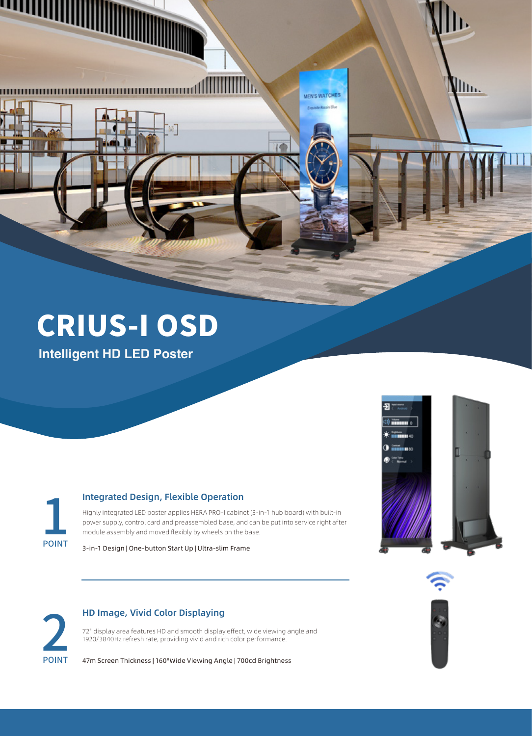

**Intelligent HD LED Poster**

1 POINT

**4444411** 

#### Integrated Design, Flexible Operation

Highly integrated LED poster applies HERA PRO-I cabinet (3-in-1 hub board) with built-in power supply, control card and preassembled base, and can be put into service right after module assembly and moved flexibly by wheels on the base.

h.

**MEN'S WATCHES ACREA** 

3-in-1 Design | One-button Start Up | Ultra-slim Frame



Illin.



# HD Image, Vivid Color Displaying

72" display area features HD and smooth display effect, wide viewing angle and 1920/3840Hz refresh rate, providing vivid and rich color performance.

47m Screen Thickness | 160°Wide Viewing Angle | 700cd Brightness